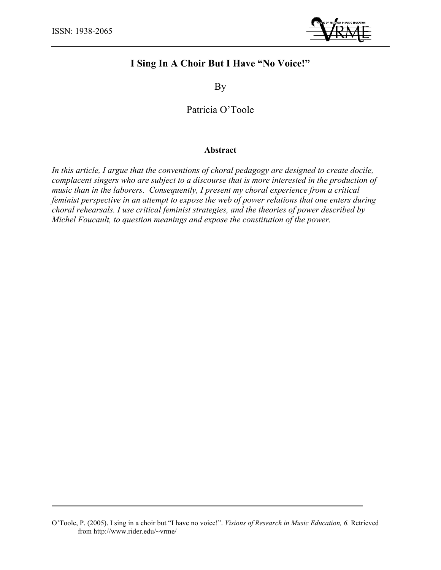

# **I Sing In A Choir But I Have "No Voice!"**

By

Patricia O'Toole

# **Abstract**

*In this article, I argue that the conventions of choral pedagogy are designed to create docile, complacent singers who are subject to a discourse that is more interested in the production of music than in the laborers. Consequently, I present my choral experience from a critical feminist perspective in an attempt to expose the web of power relations that one enters during choral rehearsals. I use critical feminist strategies, and the theories of power described by Michel Foucault, to question meanings and expose the constitution of the power.*

O'Toole, P. (2005). I sing in a choir but "I have no voice!". *Visions of Research in Music Education, 6.* Retrieved from http://www.rider.edu/~vrme/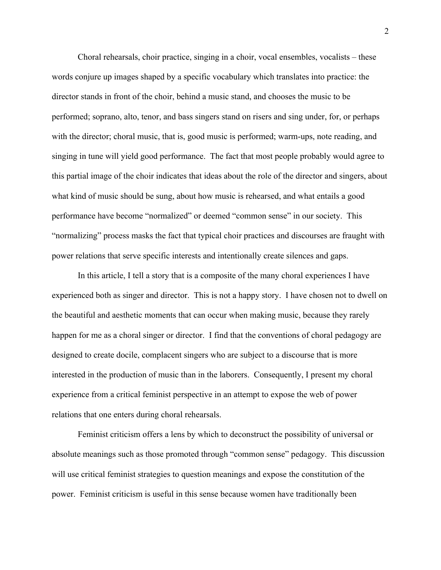Choral rehearsals, choir practice, singing in a choir, vocal ensembles, vocalists – these words conjure up images shaped by a specific vocabulary which translates into practice: the director stands in front of the choir, behind a music stand, and chooses the music to be performed; soprano, alto, tenor, and bass singers stand on risers and sing under, for, or perhaps with the director; choral music, that is, good music is performed; warm-ups, note reading, and singing in tune will yield good performance. The fact that most people probably would agree to this partial image of the choir indicates that ideas about the role of the director and singers, about what kind of music should be sung, about how music is rehearsed, and what entails a good performance have become "normalized" or deemed "common sense" in our society. This "normalizing" process masks the fact that typical choir practices and discourses are fraught with power relations that serve specific interests and intentionally create silences and gaps.

In this article, I tell a story that is a composite of the many choral experiences I have experienced both as singer and director. This is not a happy story. I have chosen not to dwell on the beautiful and aesthetic moments that can occur when making music, because they rarely happen for me as a choral singer or director. I find that the conventions of choral pedagogy are designed to create docile, complacent singers who are subject to a discourse that is more interested in the production of music than in the laborers. Consequently, I present my choral experience from a critical feminist perspective in an attempt to expose the web of power relations that one enters during choral rehearsals.

Feminist criticism offers a lens by which to deconstruct the possibility of universal or absolute meanings such as those promoted through "common sense" pedagogy. This discussion will use critical feminist strategies to question meanings and expose the constitution of the power. Feminist criticism is useful in this sense because women have traditionally been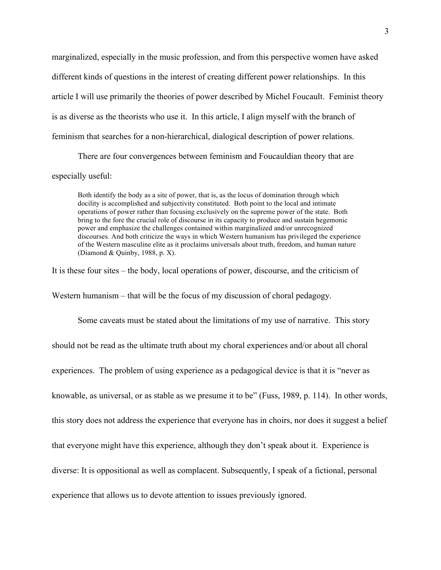marginalized, especially in the music profession, and from this perspective women have asked different kinds of questions in the interest of creating different power relationships. In this article I will use primarily the theories of power described by Michel Foucault. Feminist theory is as diverse as the theorists who use it. In this article, I align myself with the branch of feminism that searches for a non-hierarchical, dialogical description of power relations.

There are four convergences between feminism and Foucauldian theory that are especially useful:

Both identify the body as a site of power, that is, as the locus of domination through which docility is accomplished and subjectivity constituted. Both point to the local and intimate operations of power rather than focusing exclusively on the supreme power of the state. Both bring to the fore the crucial role of discourse in its capacity to produce and sustain hegemonic power and emphasize the challenges contained within marginalized and/or unrecognized discourses. And both criticize the ways in which Western humanism has privileged the experience of the Western masculine elite as it proclaims universals about truth, freedom, and human nature (Diamond & Quinby, 1988, p. X).

It is these four sites – the body, local operations of power, discourse, and the criticism of

Western humanism – that will be the focus of my discussion of choral pedagogy.

Some caveats must be stated about the limitations of my use of narrative. This story should not be read as the ultimate truth about my choral experiences and/or about all choral experiences. The problem of using experience as a pedagogical device is that it is "never as knowable, as universal, or as stable as we presume it to be" (Fuss, 1989, p. 114). In other words, this story does not address the experience that everyone has in choirs, nor does it suggest a belief that everyone might have this experience, although they don't speak about it. Experience is diverse: It is oppositional as well as complacent. Subsequently, I speak of a fictional, personal experience that allows us to devote attention to issues previously ignored.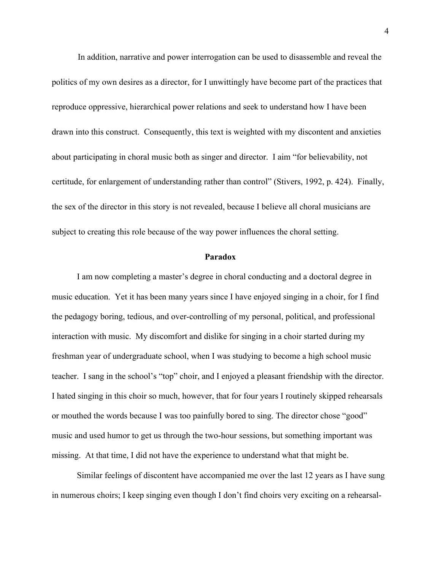In addition, narrative and power interrogation can be used to disassemble and reveal the politics of my own desires as a director, for I unwittingly have become part of the practices that reproduce oppressive, hierarchical power relations and seek to understand how I have been drawn into this construct. Consequently, this text is weighted with my discontent and anxieties about participating in choral music both as singer and director. I aim "for believability, not certitude, for enlargement of understanding rather than control" (Stivers, 1992, p. 424). Finally, the sex of the director in this story is not revealed, because I believe all choral musicians are subject to creating this role because of the way power influences the choral setting.

## **Paradox**

I am now completing a master's degree in choral conducting and a doctoral degree in music education. Yet it has been many years since I have enjoyed singing in a choir, for I find the pedagogy boring, tedious, and over-controlling of my personal, political, and professional interaction with music. My discomfort and dislike for singing in a choir started during my freshman year of undergraduate school, when I was studying to become a high school music teacher. I sang in the school's "top" choir, and I enjoyed a pleasant friendship with the director. I hated singing in this choir so much, however, that for four years I routinely skipped rehearsals or mouthed the words because I was too painfully bored to sing. The director chose "good" music and used humor to get us through the two-hour sessions, but something important was missing. At that time, I did not have the experience to understand what that might be.

Similar feelings of discontent have accompanied me over the last 12 years as I have sung in numerous choirs; I keep singing even though I don't find choirs very exciting on a rehearsal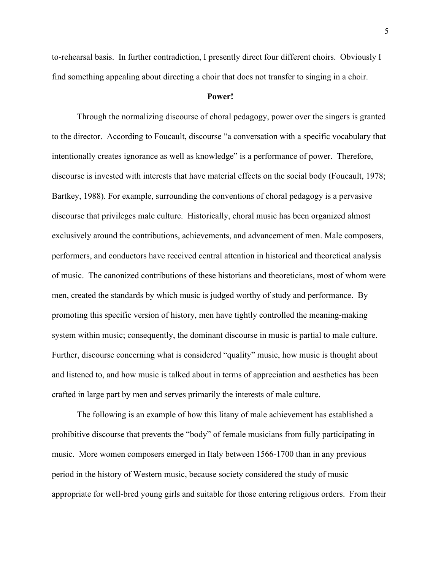to-rehearsal basis. In further contradiction, I presently direct four different choirs. Obviously I find something appealing about directing a choir that does not transfer to singing in a choir.

#### **Power!**

Through the normalizing discourse of choral pedagogy, power over the singers is granted to the director. According to Foucault, discourse "a conversation with a specific vocabulary that intentionally creates ignorance as well as knowledge" is a performance of power. Therefore, discourse is invested with interests that have material effects on the social body (Foucault, 1978; Bartkey, 1988). For example, surrounding the conventions of choral pedagogy is a pervasive discourse that privileges male culture. Historically, choral music has been organized almost exclusively around the contributions, achievements, and advancement of men. Male composers, performers, and conductors have received central attention in historical and theoretical analysis of music. The canonized contributions of these historians and theoreticians, most of whom were men, created the standards by which music is judged worthy of study and performance. By promoting this specific version of history, men have tightly controlled the meaning-making system within music; consequently, the dominant discourse in music is partial to male culture. Further, discourse concerning what is considered "quality" music, how music is thought about and listened to, and how music is talked about in terms of appreciation and aesthetics has been crafted in large part by men and serves primarily the interests of male culture.

The following is an example of how this litany of male achievement has established a prohibitive discourse that prevents the "body" of female musicians from fully participating in music. More women composers emerged in Italy between 1566-1700 than in any previous period in the history of Western music, because society considered the study of music appropriate for well-bred young girls and suitable for those entering religious orders. From their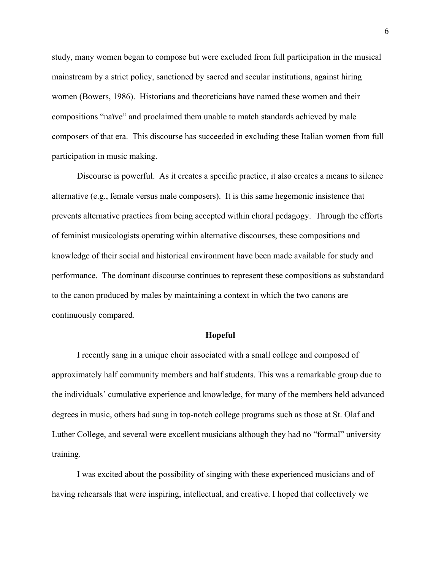study, many women began to compose but were excluded from full participation in the musical mainstream by a strict policy, sanctioned by sacred and secular institutions, against hiring women (Bowers, 1986). Historians and theoreticians have named these women and their compositions "naïve" and proclaimed them unable to match standards achieved by male composers of that era. This discourse has succeeded in excluding these Italian women from full participation in music making.

Discourse is powerful. As it creates a specific practice, it also creates a means to silence alternative (e.g., female versus male composers). It is this same hegemonic insistence that prevents alternative practices from being accepted within choral pedagogy. Through the efforts of feminist musicologists operating within alternative discourses, these compositions and knowledge of their social and historical environment have been made available for study and performance. The dominant discourse continues to represent these compositions as substandard to the canon produced by males by maintaining a context in which the two canons are continuously compared.

# **Hopeful**

I recently sang in a unique choir associated with a small college and composed of approximately half community members and half students. This was a remarkable group due to the individuals' cumulative experience and knowledge, for many of the members held advanced degrees in music, others had sung in top-notch college programs such as those at St. Olaf and Luther College, and several were excellent musicians although they had no "formal" university training.

I was excited about the possibility of singing with these experienced musicians and of having rehearsals that were inspiring, intellectual, and creative. I hoped that collectively we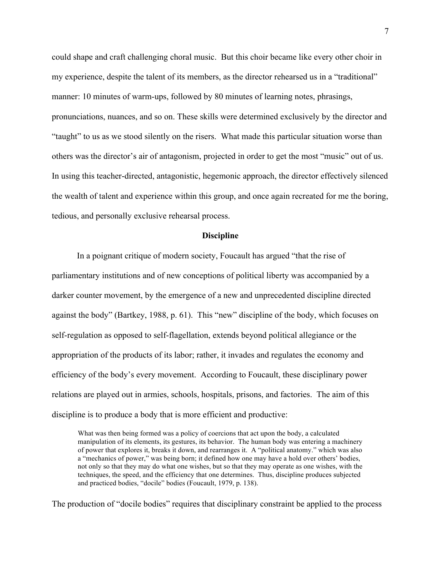could shape and craft challenging choral music. But this choir became like every other choir in my experience, despite the talent of its members, as the director rehearsed us in a "traditional" manner: 10 minutes of warm-ups, followed by 80 minutes of learning notes, phrasings, pronunciations, nuances, and so on. These skills were determined exclusively by the director and "taught" to us as we stood silently on the risers. What made this particular situation worse than others was the director's air of antagonism, projected in order to get the most "music" out of us. In using this teacher-directed, antagonistic, hegemonic approach, the director effectively silenced the wealth of talent and experience within this group, and once again recreated for me the boring, tedious, and personally exclusive rehearsal process.

## **Discipline**

In a poignant critique of modern society, Foucault has argued "that the rise of parliamentary institutions and of new conceptions of political liberty was accompanied by a darker counter movement, by the emergence of a new and unprecedented discipline directed against the body" (Bartkey, 1988, p. 61). This "new" discipline of the body, which focuses on self-regulation as opposed to self-flagellation, extends beyond political allegiance or the appropriation of the products of its labor; rather, it invades and regulates the economy and efficiency of the body's every movement. According to Foucault, these disciplinary power relations are played out in armies, schools, hospitals, prisons, and factories. The aim of this discipline is to produce a body that is more efficient and productive:

What was then being formed was a policy of coercions that act upon the body, a calculated manipulation of its elements, its gestures, its behavior. The human body was entering a machinery of power that explores it, breaks it down, and rearranges it. A "political anatomy." which was also a "mechanics of power," was being born; it defined how one may have a hold over others' bodies, not only so that they may do what one wishes, but so that they may operate as one wishes, with the techniques, the speed, and the efficiency that one determines. Thus, discipline produces subjected and practiced bodies, "docile" bodies (Foucault, 1979, p. 138).

The production of "docile bodies" requires that disciplinary constraint be applied to the process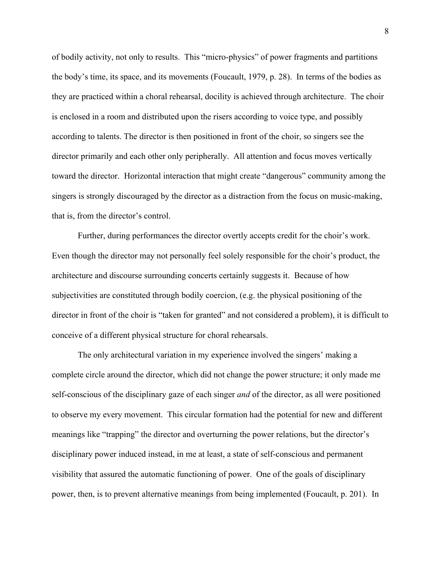of bodily activity, not only to results. This "micro-physics" of power fragments and partitions the body's time, its space, and its movements (Foucault, 1979, p. 28). In terms of the bodies as they are practiced within a choral rehearsal, docility is achieved through architecture. The choir is enclosed in a room and distributed upon the risers according to voice type, and possibly according to talents. The director is then positioned in front of the choir, so singers see the director primarily and each other only peripherally. All attention and focus moves vertically toward the director. Horizontal interaction that might create "dangerous" community among the singers is strongly discouraged by the director as a distraction from the focus on music-making, that is, from the director's control.

Further, during performances the director overtly accepts credit for the choir's work. Even though the director may not personally feel solely responsible for the choir's product, the architecture and discourse surrounding concerts certainly suggests it. Because of how subjectivities are constituted through bodily coercion, (e.g. the physical positioning of the director in front of the choir is "taken for granted" and not considered a problem), it is difficult to conceive of a different physical structure for choral rehearsals.

The only architectural variation in my experience involved the singers' making a complete circle around the director, which did not change the power structure; it only made me self-conscious of the disciplinary gaze of each singer *and* of the director, as all were positioned to observe my every movement. This circular formation had the potential for new and different meanings like "trapping" the director and overturning the power relations, but the director's disciplinary power induced instead, in me at least, a state of self-conscious and permanent visibility that assured the automatic functioning of power. One of the goals of disciplinary power, then, is to prevent alternative meanings from being implemented (Foucault, p. 201). In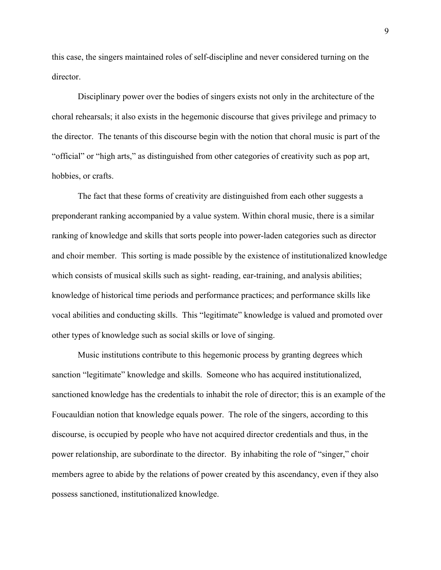this case, the singers maintained roles of self-discipline and never considered turning on the director.

Disciplinary power over the bodies of singers exists not only in the architecture of the choral rehearsals; it also exists in the hegemonic discourse that gives privilege and primacy to the director. The tenants of this discourse begin with the notion that choral music is part of the "official" or "high arts," as distinguished from other categories of creativity such as pop art, hobbies, or crafts.

The fact that these forms of creativity are distinguished from each other suggests a preponderant ranking accompanied by a value system. Within choral music, there is a similar ranking of knowledge and skills that sorts people into power-laden categories such as director and choir member. This sorting is made possible by the existence of institutionalized knowledge which consists of musical skills such as sight- reading, ear-training, and analysis abilities; knowledge of historical time periods and performance practices; and performance skills like vocal abilities and conducting skills. This "legitimate" knowledge is valued and promoted over other types of knowledge such as social skills or love of singing.

Music institutions contribute to this hegemonic process by granting degrees which sanction "legitimate" knowledge and skills. Someone who has acquired institutionalized, sanctioned knowledge has the credentials to inhabit the role of director; this is an example of the Foucauldian notion that knowledge equals power. The role of the singers, according to this discourse, is occupied by people who have not acquired director credentials and thus, in the power relationship, are subordinate to the director. By inhabiting the role of "singer," choir members agree to abide by the relations of power created by this ascendancy, even if they also possess sanctioned, institutionalized knowledge.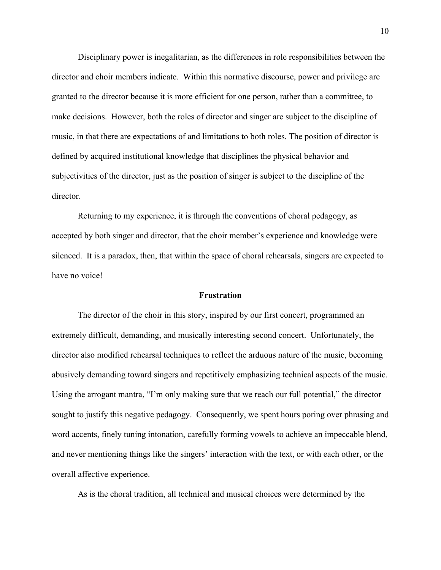Disciplinary power is inegalitarian, as the differences in role responsibilities between the director and choir members indicate. Within this normative discourse, power and privilege are granted to the director because it is more efficient for one person, rather than a committee, to make decisions. However, both the roles of director and singer are subject to the discipline of music, in that there are expectations of and limitations to both roles. The position of director is defined by acquired institutional knowledge that disciplines the physical behavior and subjectivities of the director, just as the position of singer is subject to the discipline of the director.

Returning to my experience, it is through the conventions of choral pedagogy, as accepted by both singer and director, that the choir member's experience and knowledge were silenced. It is a paradox, then, that within the space of choral rehearsals, singers are expected to have no voice!

# **Frustration**

The director of the choir in this story, inspired by our first concert, programmed an extremely difficult, demanding, and musically interesting second concert. Unfortunately, the director also modified rehearsal techniques to reflect the arduous nature of the music, becoming abusively demanding toward singers and repetitively emphasizing technical aspects of the music. Using the arrogant mantra, "I'm only making sure that we reach our full potential," the director sought to justify this negative pedagogy. Consequently, we spent hours poring over phrasing and word accents, finely tuning intonation, carefully forming vowels to achieve an impeccable blend, and never mentioning things like the singers' interaction with the text, or with each other, or the overall affective experience.

As is the choral tradition, all technical and musical choices were determined by the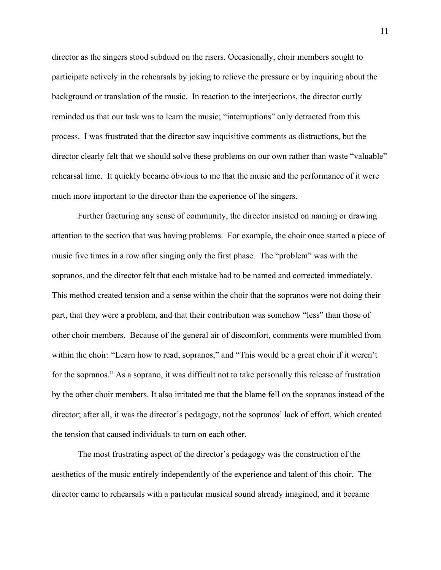director as the singers stood subdued on the risers. Occasionally, choir members sought to participate actively in the rehearsals by joking to relieve the pressure or by inquiring about the background or translation of the music. In reaction to the interjections, the director curtly reminded us that our task was to learn the music; "interruptions" only detracted from this process. I was frustrated that the director saw inquisitive comments as distractions, but the director clearly felt that we should solve these problems on our own rather than waste "valuable" rehearsal time. It quickly became obvious to me that the music and the performance of it were much more important to the director than the experience of the singers.

Further fracturing any sense of community, the director insisted on naming or drawing attention to the section that was having problems. For example, the choir once started a piece of music five times in a row after singing only the first phase. The "problem" was with the sopranos, and the director felt that each mistake had to be named and corrected immediately. This method created tension and a sense within the choir that the sopranos were not doing their part, that they were a problem, and that their contribution was somehow "less" than those of other choir members. Because of the general air of discomfort, comments were mumbled from within the choir: "Learn how to read, sopranos," and "This would be a great choir if it weren't for the sopranos." As a soprano, it was difficult not to take personally this release of frustration by the other choir members. It also irritated me that the blame fell on the sopranos instead of the director; after all, it was the director's pedagogy, not the sopranos' lack of effort, which created the tension that caused individuals to turn on each other.

The most frustrating aspect of the director's pedagogy was the construction of the aesthetics of the music entirely independently of the experience and talent of this choir. The director came to rehearsals with a particular musical sound already imagined, and it became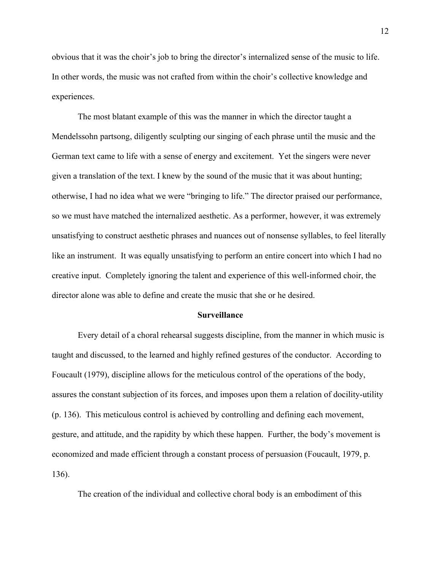obvious that it was the choir's job to bring the director's internalized sense of the music to life. In other words, the music was not crafted from within the choir's collective knowledge and experiences.

The most blatant example of this was the manner in which the director taught a Mendelssohn partsong, diligently sculpting our singing of each phrase until the music and the German text came to life with a sense of energy and excitement. Yet the singers were never given a translation of the text. I knew by the sound of the music that it was about hunting; otherwise, I had no idea what we were "bringing to life." The director praised our performance, so we must have matched the internalized aesthetic. As a performer, however, it was extremely unsatisfying to construct aesthetic phrases and nuances out of nonsense syllables, to feel literally like an instrument. It was equally unsatisfying to perform an entire concert into which I had no creative input. Completely ignoring the talent and experience of this well-informed choir, the director alone was able to define and create the music that she or he desired.

#### **Surveillance**

Every detail of a choral rehearsal suggests discipline, from the manner in which music is taught and discussed, to the learned and highly refined gestures of the conductor. According to Foucault (1979), discipline allows for the meticulous control of the operations of the body, assures the constant subjection of its forces, and imposes upon them a relation of docility-utility (p. 136). This meticulous control is achieved by controlling and defining each movement, gesture, and attitude, and the rapidity by which these happen. Further, the body's movement is economized and made efficient through a constant process of persuasion (Foucault, 1979, p. 136).

The creation of the individual and collective choral body is an embodiment of this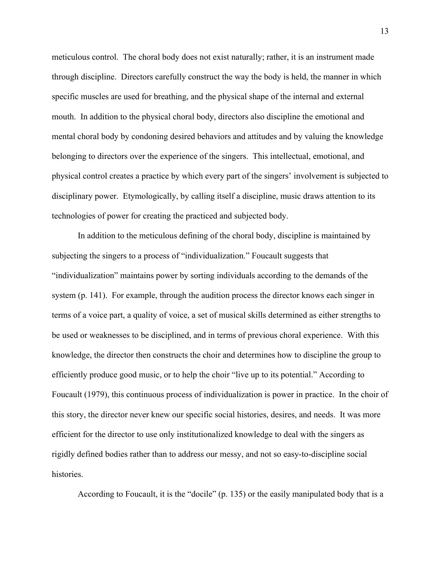meticulous control. The choral body does not exist naturally; rather, it is an instrument made through discipline. Directors carefully construct the way the body is held, the manner in which specific muscles are used for breathing, and the physical shape of the internal and external mouth. In addition to the physical choral body, directors also discipline the emotional and mental choral body by condoning desired behaviors and attitudes and by valuing the knowledge belonging to directors over the experience of the singers. This intellectual, emotional, and physical control creates a practice by which every part of the singers' involvement is subjected to disciplinary power. Etymologically, by calling itself a discipline, music draws attention to its technologies of power for creating the practiced and subjected body.

In addition to the meticulous defining of the choral body, discipline is maintained by subjecting the singers to a process of "individualization." Foucault suggests that "individualization" maintains power by sorting individuals according to the demands of the system (p. 141). For example, through the audition process the director knows each singer in terms of a voice part, a quality of voice, a set of musical skills determined as either strengths to be used or weaknesses to be disciplined, and in terms of previous choral experience. With this knowledge, the director then constructs the choir and determines how to discipline the group to efficiently produce good music, or to help the choir "live up to its potential." According to Foucault (1979), this continuous process of individualization is power in practice. In the choir of this story, the director never knew our specific social histories, desires, and needs. It was more efficient for the director to use only institutionalized knowledge to deal with the singers as rigidly defined bodies rather than to address our messy, and not so easy-to-discipline social histories.

According to Foucault, it is the "docile" (p. 135) or the easily manipulated body that is a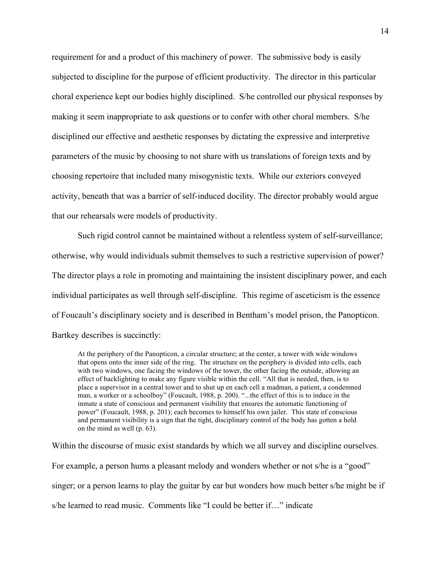requirement for and a product of this machinery of power. The submissive body is easily subjected to discipline for the purpose of efficient productivity. The director in this particular choral experience kept our bodies highly disciplined. S/he controlled our physical responses by making it seem inappropriate to ask questions or to confer with other choral members. S/he disciplined our effective and aesthetic responses by dictating the expressive and interpretive parameters of the music by choosing to not share with us translations of foreign texts and by choosing repertoire that included many misogynistic texts. While our exteriors conveyed activity, beneath that was a barrier of self-induced docility. The director probably would argue that our rehearsals were models of productivity.

Such rigid control cannot be maintained without a relentless system of self-surveillance; otherwise, why would individuals submit themselves to such a restrictive supervision of power? The director plays a role in promoting and maintaining the insistent disciplinary power, and each individual participates as well through self-discipline. This regime of asceticism is the essence of Foucault's disciplinary society and is described in Bentham's model prison, the Panopticon. Bartkey describes is succinctly:

At the periphery of the Panopticon, a circular structure; at the center, a tower with wide windows that opens onto the inner side of the ring. The structure on the periphery is divided into cells, each with two windows, one facing the windows of the tower, the other facing the outside, allowing an effect of backlighting to make any figure visible within the cell. "All that is needed, then, is to place a supervisor in a central tower and to shut up en each cell a madman, a patient, a condemned man, a worker or a schoolboy" (Foucault, 1988, p. 200). "...the effect of this is to induce in the inmate a state of conscious and permanent visibility that ensures the automatic functioning of power" (Foucault, 1988, p. 201); each becomes to himself his own jailer. This state of conscious and permanent visibility is a sign that the tight, disciplinary control of the body has gotten a hold on the mind as well (p. 63).

Within the discourse of music exist standards by which we all survey and discipline ourselves. For example, a person hums a pleasant melody and wonders whether or not s/he is a "good" singer; or a person learns to play the guitar by ear but wonders how much better s/he might be if s/he learned to read music. Comments like "I could be better if…" indicate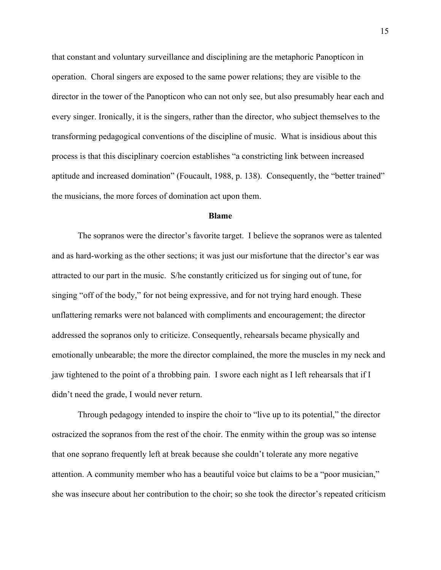that constant and voluntary surveillance and disciplining are the metaphoric Panopticon in operation. Choral singers are exposed to the same power relations; they are visible to the director in the tower of the Panopticon who can not only see, but also presumably hear each and every singer. Ironically, it is the singers, rather than the director, who subject themselves to the transforming pedagogical conventions of the discipline of music. What is insidious about this process is that this disciplinary coercion establishes "a constricting link between increased aptitude and increased domination" (Foucault, 1988, p. 138). Consequently, the "better trained" the musicians, the more forces of domination act upon them.

# **Blame**

The sopranos were the director's favorite target. I believe the sopranos were as talented and as hard-working as the other sections; it was just our misfortune that the director's ear was attracted to our part in the music. S/he constantly criticized us for singing out of tune, for singing "off of the body," for not being expressive, and for not trying hard enough. These unflattering remarks were not balanced with compliments and encouragement; the director addressed the sopranos only to criticize. Consequently, rehearsals became physically and emotionally unbearable; the more the director complained, the more the muscles in my neck and jaw tightened to the point of a throbbing pain. I swore each night as I left rehearsals that if I didn't need the grade, I would never return.

Through pedagogy intended to inspire the choir to "live up to its potential," the director ostracized the sopranos from the rest of the choir. The enmity within the group was so intense that one soprano frequently left at break because she couldn't tolerate any more negative attention. A community member who has a beautiful voice but claims to be a "poor musician," she was insecure about her contribution to the choir; so she took the director's repeated criticism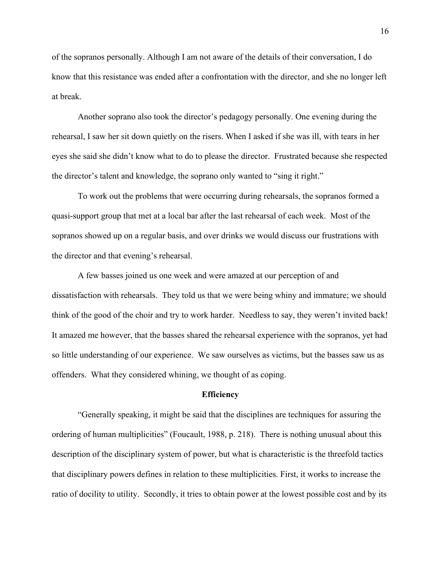of the sopranos personally. Although I am not aware of the details of their conversation, I do know that this resistance was ended after a confrontation with the director, and she no longer left at break.

Another soprano also took the director's pedagogy personally. One evening during the rehearsal, I saw her sit down quietly on the risers. When I asked if she was ill, with tears in her eyes she said she didn't know what to do to please the director. Frustrated because she respected the director's talent and knowledge, the soprano only wanted to "sing it right."

To work out the problems that were occurring during rehearsals, the sopranos formed a quasi-support group that met at a local bar after the last rehearsal of each week. Most of the sopranos showed up on a regular basis, and over drinks we would discuss our frustrations with the director and that evening's rehearsal.

A few basses joined us one week and were amazed at our perception of and dissatisfaction with rehearsals. They told us that we were being whiny and immature; we should think of the good of the choir and try to work harder. Needless to say, they weren't invited back! It amazed me however, that the basses shared the rehearsal experience with the sopranos, yet had so little understanding of our experience. We saw ourselves as victims, but the basses saw us as offenders. What they considered whining, we thought of as coping.

#### **Efficiency**

"Generally speaking, it might be said that the disciplines are techniques for assuring the ordering of human multiplicities" (Foucault, 1988, p. 218). There is nothing unusual about this description of the disciplinary system of power, but what is characteristic is the threefold tactics that disciplinary powers defines in relation to these multiplicities. First, it works to increase the ratio of docility to utility. Secondly, it tries to obtain power at the lowest possible cost and by its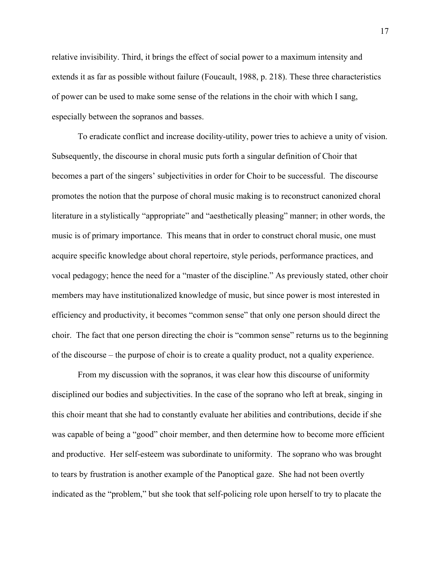relative invisibility. Third, it brings the effect of social power to a maximum intensity and extends it as far as possible without failure (Foucault, 1988, p. 218). These three characteristics of power can be used to make some sense of the relations in the choir with which I sang, especially between the sopranos and basses.

To eradicate conflict and increase docility-utility, power tries to achieve a unity of vision. Subsequently, the discourse in choral music puts forth a singular definition of Choir that becomes a part of the singers' subjectivities in order for Choir to be successful. The discourse promotes the notion that the purpose of choral music making is to reconstruct canonized choral literature in a stylistically "appropriate" and "aesthetically pleasing" manner; in other words, the music is of primary importance. This means that in order to construct choral music, one must acquire specific knowledge about choral repertoire, style periods, performance practices, and vocal pedagogy; hence the need for a "master of the discipline." As previously stated, other choir members may have institutionalized knowledge of music, but since power is most interested in efficiency and productivity, it becomes "common sense" that only one person should direct the choir. The fact that one person directing the choir is "common sense" returns us to the beginning of the discourse – the purpose of choir is to create a quality product, not a quality experience.

From my discussion with the sopranos, it was clear how this discourse of uniformity disciplined our bodies and subjectivities. In the case of the soprano who left at break, singing in this choir meant that she had to constantly evaluate her abilities and contributions, decide if she was capable of being a "good" choir member, and then determine how to become more efficient and productive. Her self-esteem was subordinate to uniformity. The soprano who was brought to tears by frustration is another example of the Panoptical gaze. She had not been overtly indicated as the "problem," but she took that self-policing role upon herself to try to placate the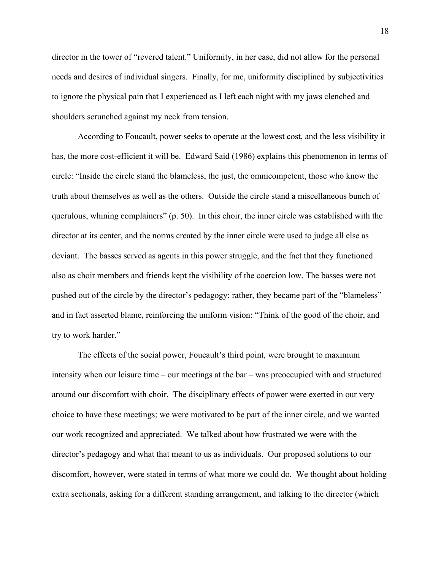director in the tower of "revered talent." Uniformity, in her case, did not allow for the personal needs and desires of individual singers. Finally, for me, uniformity disciplined by subjectivities to ignore the physical pain that I experienced as I left each night with my jaws clenched and shoulders scrunched against my neck from tension.

According to Foucault, power seeks to operate at the lowest cost, and the less visibility it has, the more cost-efficient it will be. Edward Said (1986) explains this phenomenon in terms of circle: "Inside the circle stand the blameless, the just, the omnicompetent, those who know the truth about themselves as well as the others. Outside the circle stand a miscellaneous bunch of querulous, whining complainers" (p. 50). In this choir, the inner circle was established with the director at its center, and the norms created by the inner circle were used to judge all else as deviant. The basses served as agents in this power struggle, and the fact that they functioned also as choir members and friends kept the visibility of the coercion low. The basses were not pushed out of the circle by the director's pedagogy; rather, they became part of the "blameless" and in fact asserted blame, reinforcing the uniform vision: "Think of the good of the choir, and try to work harder."

The effects of the social power, Foucault's third point, were brought to maximum intensity when our leisure time – our meetings at the bar – was preoccupied with and structured around our discomfort with choir. The disciplinary effects of power were exerted in our very choice to have these meetings; we were motivated to be part of the inner circle, and we wanted our work recognized and appreciated. We talked about how frustrated we were with the director's pedagogy and what that meant to us as individuals. Our proposed solutions to our discomfort, however, were stated in terms of what more we could do. We thought about holding extra sectionals, asking for a different standing arrangement, and talking to the director (which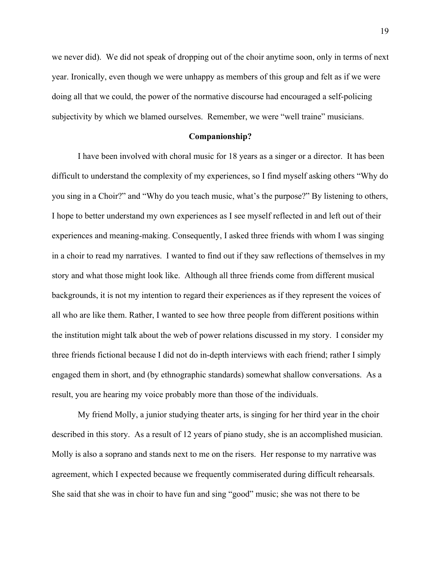we never did). We did not speak of dropping out of the choir anytime soon, only in terms of next year. Ironically, even though we were unhappy as members of this group and felt as if we were doing all that we could, the power of the normative discourse had encouraged a self-policing subjectivity by which we blamed ourselves. Remember, we were "well traine" musicians.

# **Companionship?**

I have been involved with choral music for 18 years as a singer or a director. It has been difficult to understand the complexity of my experiences, so I find myself asking others "Why do you sing in a Choir?" and "Why do you teach music, what's the purpose?" By listening to others, I hope to better understand my own experiences as I see myself reflected in and left out of their experiences and meaning-making. Consequently, I asked three friends with whom I was singing in a choir to read my narratives. I wanted to find out if they saw reflections of themselves in my story and what those might look like. Although all three friends come from different musical backgrounds, it is not my intention to regard their experiences as if they represent the voices of all who are like them. Rather, I wanted to see how three people from different positions within the institution might talk about the web of power relations discussed in my story. I consider my three friends fictional because I did not do in-depth interviews with each friend; rather I simply engaged them in short, and (by ethnographic standards) somewhat shallow conversations. As a result, you are hearing my voice probably more than those of the individuals.

My friend Molly, a junior studying theater arts, is singing for her third year in the choir described in this story. As a result of 12 years of piano study, she is an accomplished musician. Molly is also a soprano and stands next to me on the risers. Her response to my narrative was agreement, which I expected because we frequently commiserated during difficult rehearsals. She said that she was in choir to have fun and sing "good" music; she was not there to be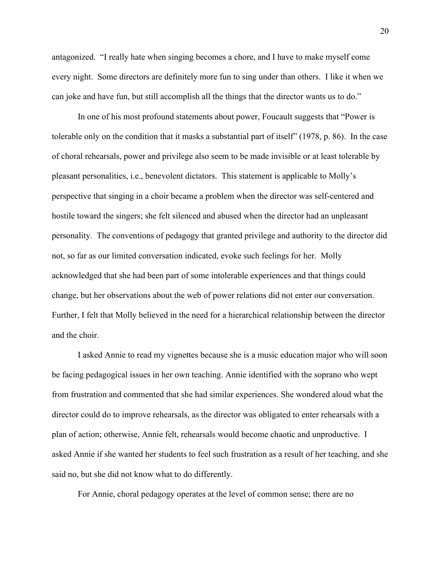antagonized. "I really hate when singing becomes a chore, and I have to make myself come every night. Some directors are definitely more fun to sing under than others. I like it when we can joke and have fun, but still accomplish all the things that the director wants us to do."

In one of his most profound statements about power, Foucault suggests that "Power is tolerable only on the condition that it masks a substantial part of itself" (1978, p. 86). In the case of choral rehearsals, power and privilege also seem to be made invisible or at least tolerable by pleasant personalities, i.e., benevolent dictators. This statement is applicable to Molly's perspective that singing in a choir became a problem when the director was self-centered and hostile toward the singers; she felt silenced and abused when the director had an unpleasant personality. The conventions of pedagogy that granted privilege and authority to the director did not, so far as our limited conversation indicated, evoke such feelings for her. Molly acknowledged that she had been part of some intolerable experiences and that things could change, but her observations about the web of power relations did not enter our conversation. Further, I felt that Molly believed in the need for a hierarchical relationship between the director and the choir.

I asked Annie to read my vignettes because she is a music education major who will soon be facing pedagogical issues in her own teaching. Annie identified with the soprano who wept from frustration and commented that she had similar experiences. She wondered aloud what the director could do to improve rehearsals, as the director was obligated to enter rehearsals with a plan of action; otherwise, Annie felt, rehearsals would become chaotic and unproductive. I asked Annie if she wanted her students to feel such frustration as a result of her teaching, and she said no, but she did not know what to do differently.

For Annie, choral pedagogy operates at the level of common sense; there are no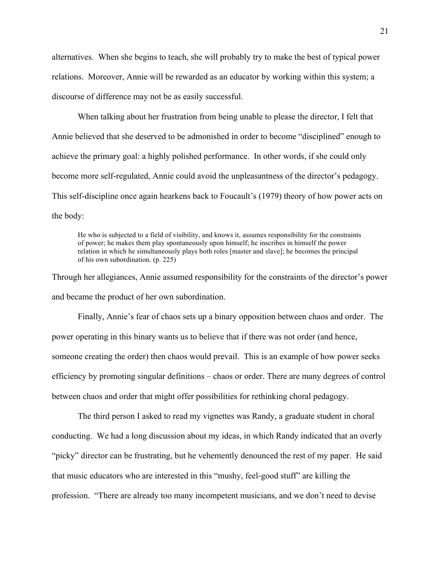alternatives. When she begins to teach, she will probably try to make the best of typical power relations. Moreover, Annie will be rewarded as an educator by working within this system; a discourse of difference may not be as easily successful.

When talking about her frustration from being unable to please the director, I felt that Annie believed that she deserved to be admonished in order to become "disciplined" enough to achieve the primary goal: a highly polished performance. In other words, if she could only become more self-regulated, Annie could avoid the unpleasantness of the director's pedagogy. This self-discipline once again hearkens back to Foucault's (1979) theory of how power acts on the body:

He who is subjected to a field of visibility, and knows it, assumes responsibility for the constraints of power; he makes them play spontaneously upon himself; he inscribes in himself the power relation in which he simultaneously plays both roles [master and slave]; he becomes the principal of his own subordination. (p. 225)

Through her allegiances, Annie assumed responsibility for the constraints of the director's power and became the product of her own subordination.

Finally, Annie's fear of chaos sets up a binary opposition between chaos and order. The power operating in this binary wants us to believe that if there was not order (and hence, someone creating the order) then chaos would prevail. This is an example of how power seeks efficiency by promoting singular definitions – chaos or order. There are many degrees of control between chaos and order that might offer possibilities for rethinking choral pedagogy.

The third person I asked to read my vignettes was Randy, a graduate student in choral conducting. We had a long discussion about my ideas, in which Randy indicated that an overly "picky" director can be frustrating, but he vehemently denounced the rest of my paper. He said that music educators who are interested in this "mushy, feel-good stuff" are killing the profession. "There are already too many incompetent musicians, and we don't need to devise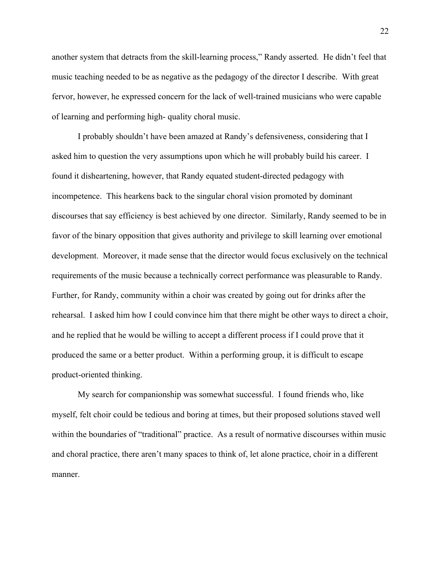another system that detracts from the skill-learning process," Randy asserted. He didn't feel that music teaching needed to be as negative as the pedagogy of the director I describe. With great fervor, however, he expressed concern for the lack of well-trained musicians who were capable of learning and performing high- quality choral music.

I probably shouldn't have been amazed at Randy's defensiveness, considering that I asked him to question the very assumptions upon which he will probably build his career. I found it disheartening, however, that Randy equated student-directed pedagogy with incompetence. This hearkens back to the singular choral vision promoted by dominant discourses that say efficiency is best achieved by one director. Similarly, Randy seemed to be in favor of the binary opposition that gives authority and privilege to skill learning over emotional development. Moreover, it made sense that the director would focus exclusively on the technical requirements of the music because a technically correct performance was pleasurable to Randy. Further, for Randy, community within a choir was created by going out for drinks after the rehearsal. I asked him how I could convince him that there might be other ways to direct a choir, and he replied that he would be willing to accept a different process if I could prove that it produced the same or a better product. Within a performing group, it is difficult to escape product-oriented thinking.

My search for companionship was somewhat successful. I found friends who, like myself, felt choir could be tedious and boring at times, but their proposed solutions staved well within the boundaries of "traditional" practice. As a result of normative discourses within music and choral practice, there aren't many spaces to think of, let alone practice, choir in a different manner.

22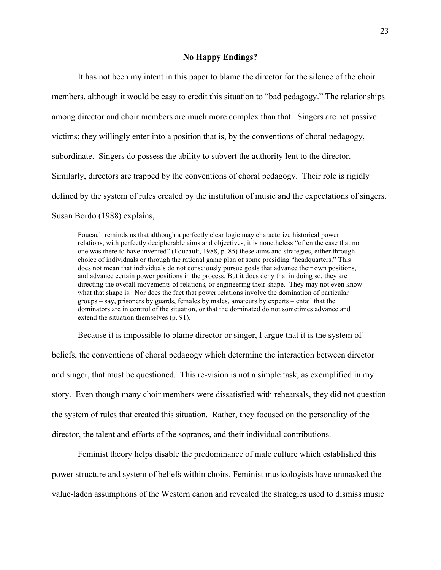# **No Happy Endings?**

It has not been my intent in this paper to blame the director for the silence of the choir members, although it would be easy to credit this situation to "bad pedagogy." The relationships among director and choir members are much more complex than that. Singers are not passive victims; they willingly enter into a position that is, by the conventions of choral pedagogy, subordinate. Singers do possess the ability to subvert the authority lent to the director. Similarly, directors are trapped by the conventions of choral pedagogy. Their role is rigidly defined by the system of rules created by the institution of music and the expectations of singers. Susan Bordo (1988) explains,

Foucault reminds us that although a perfectly clear logic may characterize historical power relations, with perfectly decipherable aims and objectives, it is nonetheless "often the case that no one was there to have invented" (Foucault, 1988, p. 85) these aims and strategies, either through choice of individuals or through the rational game plan of some presiding "headquarters." This does not mean that individuals do not consciously pursue goals that advance their own positions, and advance certain power positions in the process. But it does deny that in doing so, they are directing the overall movements of relations, or engineering their shape. They may not even know what that shape is. Nor does the fact that power relations involve the domination of particular groups – say, prisoners by guards, females by males, amateurs by experts – entail that the dominators are in control of the situation, or that the dominated do not sometimes advance and extend the situation themselves (p. 91).

Because it is impossible to blame director or singer, I argue that it is the system of

beliefs, the conventions of choral pedagogy which determine the interaction between director and singer, that must be questioned. This re-vision is not a simple task, as exemplified in my story. Even though many choir members were dissatisfied with rehearsals, they did not question the system of rules that created this situation. Rather, they focused on the personality of the director, the talent and efforts of the sopranos, and their individual contributions.

Feminist theory helps disable the predominance of male culture which established this power structure and system of beliefs within choirs. Feminist musicologists have unmasked the value-laden assumptions of the Western canon and revealed the strategies used to dismiss music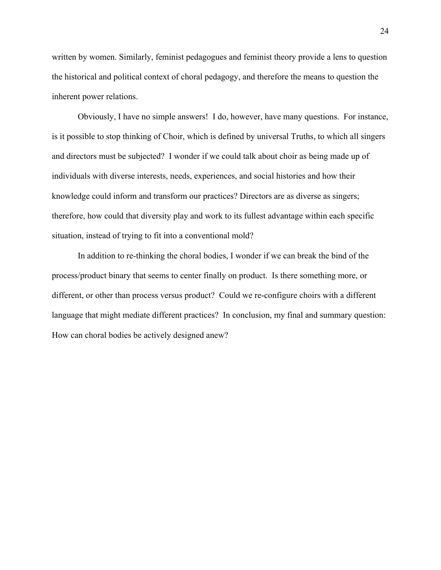written by women. Similarly, feminist pedagogues and feminist theory provide a lens to question the historical and political context of choral pedagogy, and therefore the means to question the inherent power relations.

Obviously, I have no simple answers! I do, however, have many questions. For instance, is it possible to stop thinking of Choir, which is defined by universal Truths, to which all singers and directors must be subjected? I wonder if we could talk about choir as being made up of individuals with diverse interests, needs, experiences, and social histories and how their knowledge could inform and transform our practices? Directors are as diverse as singers; therefore, how could that diversity play and work to its fullest advantage within each specific situation, instead of trying to fit into a conventional mold?

In addition to re-thinking the choral bodies, I wonder if we can break the bind of the process/product binary that seems to center finally on product. Is there something more, or different, or other than process versus product? Could we re-configure choirs with a different language that might mediate different practices? In conclusion, my final and summary question: How can choral bodies be actively designed anew?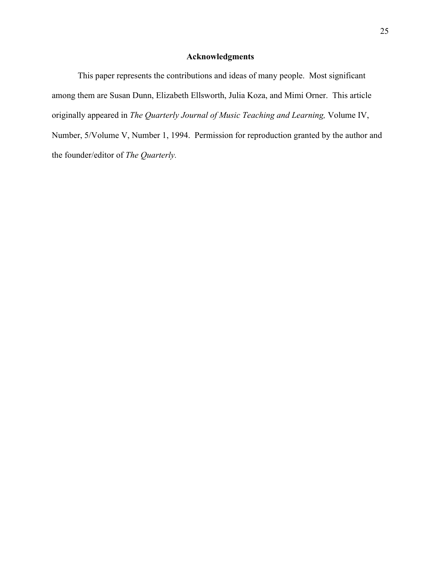# **Acknowledgments**

This paper represents the contributions and ideas of many people. Most significant among them are Susan Dunn, Elizabeth Ellsworth, Julia Koza, and Mimi Orner. This article originally appeared in *The Quarterly Journal of Music Teaching and Learning,* Volume IV, Number, 5/Volume V, Number 1, 1994. Permission for reproduction granted by the author and the founder/editor of *The Quarterly.*